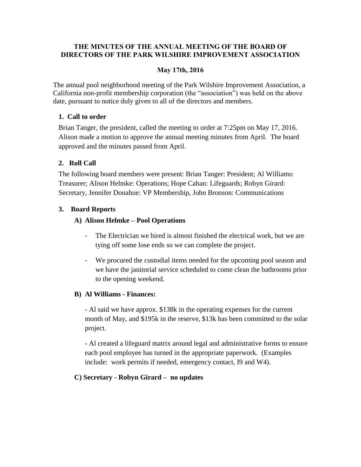#### **THE MINUTES OF THE ANNUAL MEETING OF THE BOARD OF DIRECTORS OF THE PARK WILSHIRE IMPROVEMENT ASSOCIATION**

#### **May 17th, 2016**

The annual pool neighborhood meeting of the Park Wilshire Improvement Association, a California non-profit membership corporation (the "association") was held on the above date, pursuant to notice duly given to all of the directors and members.

#### **1. Call to order**

Brian Tanger, the president, called the meeting to order at 7:25pm on May 17, 2016. Alison made a motion to approve the annual meeting minutes from April. The board approved and the minutes passed from April.

#### **2. Roll Call**

The following board members were present: Brian Tanger: President; Al Williams: Treasurer; Alison Helmke: Operations; Hope Cahan: Lifeguards; Robyn Girard: Secretary, Jennifer Donahue: VP Membership, John Bronson: Communications

#### **3. Board Reports**

#### **A) Alison Helmke – Pool Operations**

- The Electrician we hired is almost finished the electrical work, but we are tying off some lose ends so we can complete the project.
- We procured the custodial items needed for the upcoming pool season and we have the janitorial service scheduled to come clean the bathrooms prior to the opening weekend.

#### **B) Al Williams - Finances:**

- Al said we have approx. \$138k in the operating expenses for the current month of May, and \$195k in the reserve, \$13k has been committed to the solar project.

- Al created a lifeguard matrix around legal and administrative forms to ensure each pool employee has turned in the appropriate paperwork. (Examples include: work permits if needed, emergency contact, I9 and W4).

#### **C) Secretary - Robyn Girard – no updates**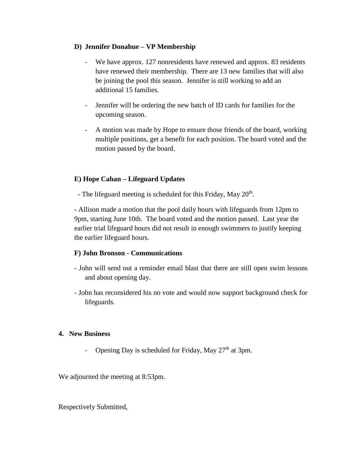#### **D) Jennifer Donahue – VP Membership**

- We have approx. 127 nonresidents have renewed and approx. 83 residents have renewed their membership. There are 13 new families that will also be joining the pool this season. Jennifer is still working to add an additional 15 families.
- Jennifer will be ordering the new batch of ID cards for families for the upcoming season.
- A motion was made by Hope to ensure those friends of the board, working multiple positions, get a benefit for each position. The board voted and the motion passed by the board.

#### **E) Hope Cahan – Lifeguard Updates**

- The lifeguard meeting is scheduled for this Friday, May 20<sup>th</sup>.

- Allison made a motion that the pool daily hours with lifeguards from 12pm to 9pm, starting June 10th. The board voted and the motion passed. Last year the earlier trial lifeguard hours did not result in enough swimmers to justify keeping the earlier lifeguard hours.

#### **F) John Bronson - Communications**

- John will send out a reminder email blast that there are still open swim lessons and about opening day.
- John has reconsidered his no vote and would now support background check for lifeguards.

#### **4. New Business**

Opening Day is scheduled for Friday, May 27<sup>th</sup> at 3pm.

We adjourned the meeting at 8:53pm.

Respectively Submitted,